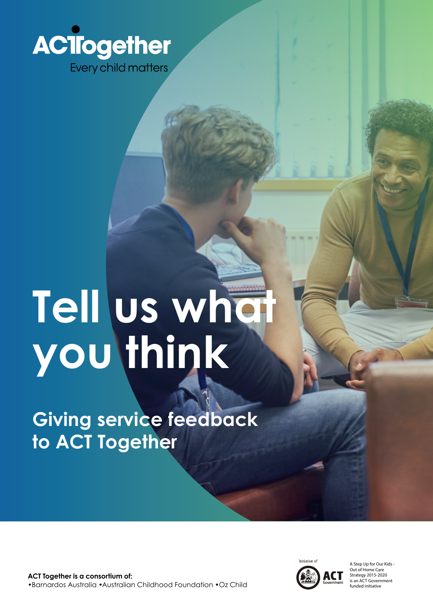

# **Tell us what you think**

**Giving service feedback to ACT Together**

**ACT Together is a consortium of:**  •Barnardos Australia •Australian Childhood Foundation •Oz Child



A Step Up for Our Kids - Out of Home Care Strategy 2015-2020 is an ACT Government funded initiative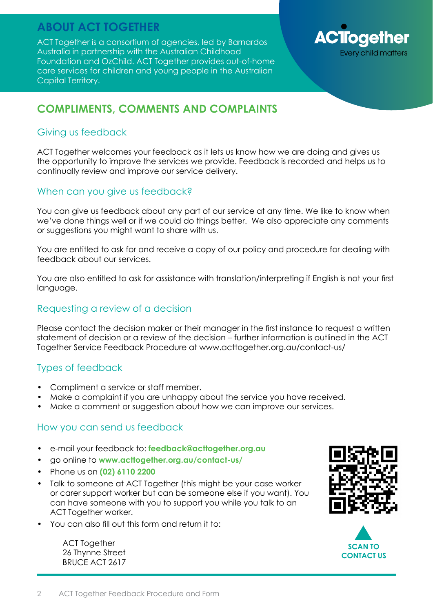## **ABOUT ACT TOGETHER**

ACT Together is a consortium of agencies, led by Barnardos Australia in partnership with the Australian Childhood Foundation and OzChild. ACT Together provides out-of-home care services for children and young people in the Australian Capital Territory.



#### **COMPLIMENTS, COMMENTS AND COMPLAINTS**

#### Giving us feedback

ACT Together welcomes your feedback as it lets us know how we are doing and gives us the opportunity to improve the services we provide. Feedback is recorded and helps us to continually review and improve our service delivery.

#### When can you give us feedback?

You can give us feedback about any part of our service at any time. We like to know when we've done things well or if we could do things better. We also appreciate any comments or suggestions you might want to share with us.

You are entitled to ask for and receive a copy of our policy and procedure for dealing with feedback about our services.

You are also entitled to ask for assistance with translation/interpreting if English is not your first language.

#### Requesting a review of a decision

Please contact the decision maker or their manager in the first instance to request a written statement of decision or a review of the decision – further information is outlined in the ACT Together Service Feedback Procedure at www.acttogether.org.au/contact-us/

#### Types of feedback

- Compliment a service or staff member.
- Make a complaint if you are unhappy about the service you have received.
- Make a comment or suggestion about how we can improve our services.

#### How you can send us feedback

- e-mail your feedback to: **[feedback@acttogether.org.au](mailto:feedback%40acttogether.org.au%20?subject=ACT%20Together%20Feedback%20Services)**
- go online to **www.acttogether.org.au/contact-us/**
- Phone us on **(02) 6110 2200**
- Talk to someone at ACT Together (this might be your case worker or carer support worker but can be someone else if you want). You can have someone with you to support you while you talk to an ACT Together worker.
- You can also fill out this form and return it to:

ACT Together 26 Thynne Street BRUCE ACT 2617



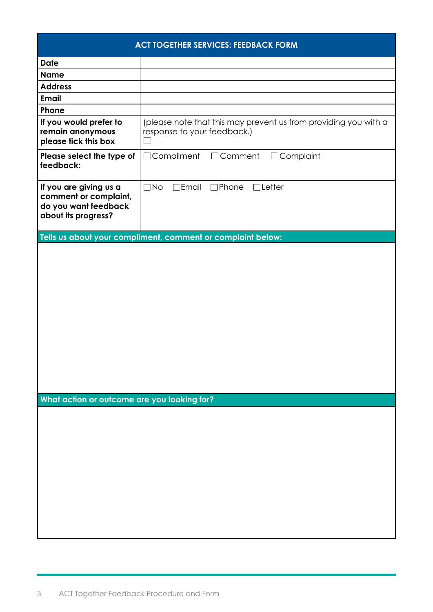| <b>ACT TOGETHER SERVICES: FEEDBACK FORM</b>                                                    |                                                                                                |
|------------------------------------------------------------------------------------------------|------------------------------------------------------------------------------------------------|
| <b>Date</b>                                                                                    |                                                                                                |
| <b>Name</b>                                                                                    |                                                                                                |
| <b>Address</b>                                                                                 |                                                                                                |
| <b>Email</b>                                                                                   |                                                                                                |
| Phone                                                                                          |                                                                                                |
| If you would prefer to<br>remain anonymous<br>please tick this box                             | (please note that this may prevent us from providing you with a<br>response to your feedback.) |
| Please select the type of<br>feedback:                                                         | $\Box$ Compliment<br>$\Box$ Comment<br>Complaint<br>$\Box$                                     |
| If you are giving us a<br>comment or complaint,<br>do you want feedback<br>about its progress? | $\Box$ No<br>$\Box$ Letter<br>$\exists$ Email<br>$\square$ Phone                               |
|                                                                                                | Tells us about your compliment, comment or complaint below:                                    |
| What action or outcome are you looking for?                                                    |                                                                                                |
|                                                                                                |                                                                                                |
|                                                                                                |                                                                                                |